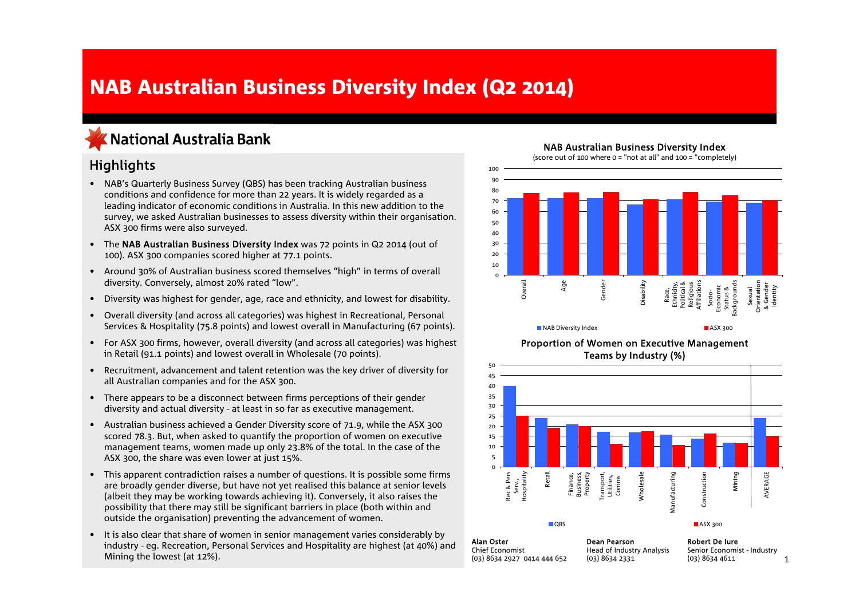# NAB Australian Business Diversity Index (Q2 2014)

## KNational Australia Bank

## **Highlights**

- NAB's Quarterly Business Survey (QBS) has been tracking Australian business conditions and confidence for more than 22 years. It is widely regarded as a leading indicator of economic conditions in Australia. In this new addition to the survey, we asked Australian businesses to assess diversity within their organisation. ASX 300 firms were also surveyed.
- The NAB Australian Business Diversity Index was 72 points in Q2 2014 (out of 100). ASX 300 companies scored higher at 77.1 points.
- Around 30% of Australian business scored themselves "high" in terms of overall diversity. Conversely, almost 20% rated "low".
- Diversity was highest for gender, age, race and ethnicity, and lowest for disability.
- Overall diversity (and across all categories) was highest in Recreational, Personal Services & Hospitality (75.8 points) and lowest overall in Manufacturing (67 points).
- For ASX 300 firms, however, overall diversity (and across all categories) was highest in Retail (91.1 points) and lowest overall in Wholesale (70 points).
- Recruitment, advancement and talent retention was the key driver of diversity for all Australian companies and for the ASX 300.
- There appears to be a disconnect between firms perceptions of their gender diversity and actual diversity - at least in so far as executive management.
- Australian business achieved a Gender Diversity score of 71.9, while the ASX 300 scored 78.3. But, when asked to quantify the proportion of women on executive management teams, women made up only 23.8% of the total. In the case of the ASX 300, the share was even lower at just 15%.
- This apparent contradiction raises a number of questions. It is possible some firms are broadly gender diverse, but have not yet realised this balance at senior levels (albeit they may be working towards achieving it). Conversely, it also raises the possibility that there may still be significant barriers in place (both within and outside the organisation) preventing the advancement of women.
- • It is also clear that share of women in senior management varies considerably by industry - eg. Recreation, Personal Services and Hospitality are highest (at 40%) and Mining the lowest (at 12%).

NAB Australian Business Diversity Index

(score out of 100 where  $0 =$  "not at all" and 100 = "completely)







Chief Economist(03) 8634 2927 0414 444 652 Head of Industry Analysis (03) 8634 2331

1Senior Economist - Industry (03) 8634 4611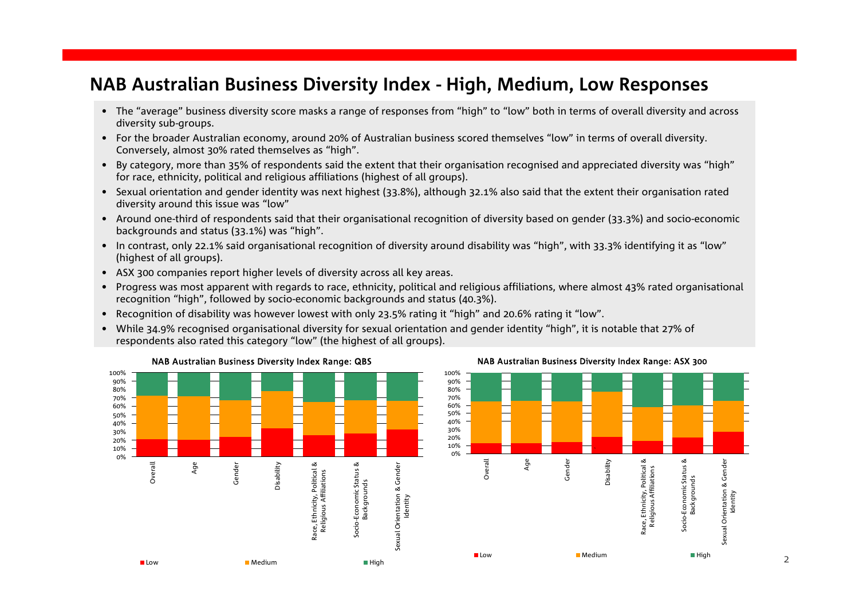## **NAB Australian Business Diversity Index - High, Medium, Low Responses**

- The "average" business diversity score masks a range of responses from "high" to "low" both in terms of overall diversity and across diversity sub-groups.
- For the broader Australian economy, around 20% of Australian business scored themselves "low" in terms of overall diversity. Conversely, almost 30% rated themselves as "high".
- By category, more than 35% of respondents said the extent that their organisation recognised and appreciated diversity was "high" for race, ethnicity, political and religious affiliations (highest of all groups).
- Sexual orientation and gender identity was next highest (33.8%), although 32.1% also said that the extent their organisation rated diversity around this issue was "low"
- Around one-third of respondents said that their organisational recognition of diversity based on gender (33.3%) and socio-economic backgrounds and status (33.1%) was "high".
- In contrast, only 22.1% said organisational recognition of diversity around disability was "high", with 33.3% identifying it as "low" (highest of all groups).
- ASX 300 companies report higher levels of diversity across all key areas.
- Progress was most apparent with regards to race, ethnicity, political and religious affiliations, where almost 43% rated organisational recognition "high", followed by socio-economic backgrounds and status (40.3%).
- Recognition of disability was however lowest with only 23.5% rating it "high" and 20.6% rating it "low".
- While 34.9% recognised organisational diversity for sexual orientation and gender identity "high", it is notable that 27% of respondents also rated this category "low" (the highest of all groups).



NAB Australian Business Diversity Index Range: ASX 300

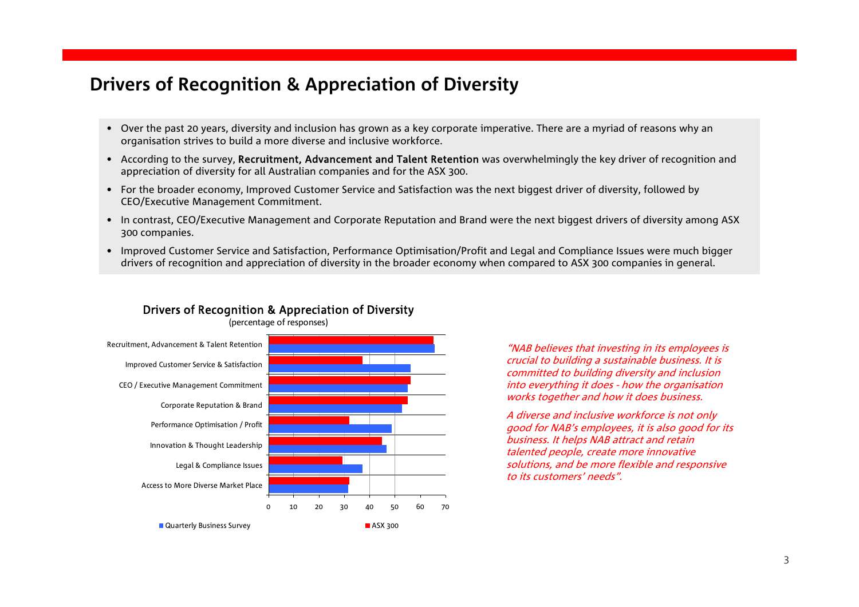# **Drivers of Recognition & Appreciation of Diversity**

- Over the past 20 years, diversity and inclusion has grown as a key corporate imperative. There are a myriad of reasons why an organisation strives to build a more diverse and inclusive workforce.
- According to the survey, Recruitment, Advancement and Talent Retention was overwhelmingly the key driver of recognition and appreciation of diversity for all Australian companies and for the ASX 300.
- For the broader economy, Improved Customer Service and Satisfaction was the next biggest driver of diversity, followed by CEO/Executive Management Commitment.
- In contrast, CEO/Executive Management and Corporate Reputation and Brand were the next biggest drivers of diversity among ASX 300 companies.
- Improved Customer Service and Satisfaction, Performance Optimisation/Profit and Legal and Compliance Issues were much bigger drivers of recognition and appreciation of diversity in the broader economy when compared to ASX 300 companies in general.



## Drivers of Recognition & Appreciation of Diversity

"NAB believes that investing in its employees is crucial to building a sustainable business. It is committed to building diversity and inclusion into everything it does - how the organisation works together and how it does business.

A diverse and inclusive workforce is not only good for NAB's employees, it is also good for its business. It helps NAB attract and retain talented people, create more innovative solutions, and be more flexible and responsive to its customers' needs".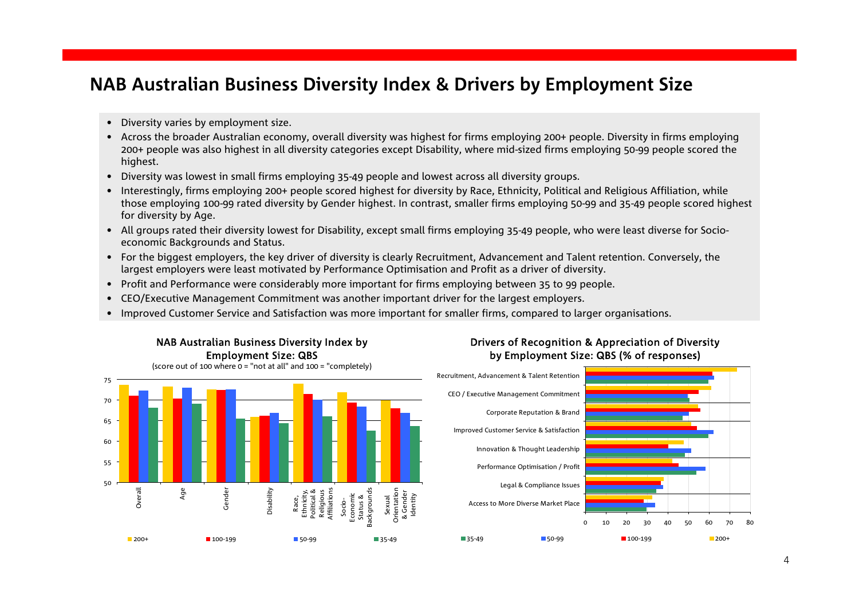# **NAB Australian Business Diversity Index & Drivers by Employment Size**

- Diversity varies by employment size.
- Across the broader Australian economy, overall diversity was highest for firms employing 200+ people. Diversity in firms employing 200+ people was also highest in all diversity categories except Disability, where mid-sized firms employing 50-99 people scored the highest.
- Diversity was lowest in small firms employing 35-49 people and lowest across all diversity groups.
- Interestingly, firms employing 200+ people scored highest for diversity by Race, Ethnicity, Political and Religious Affiliation, while those employing 100-99 rated diversity by Gender highest. In contrast, smaller firms employing 50-99 and 35-49 people scored highest for diversity by Age.
- All groups rated their diversity lowest for Disability, except small firms employing 35-49 people, who were least diverse for Socioeconomic Backgrounds and Status.
- For the biggest employers, the key driver of diversity is clearly Recruitment, Advancement and Talent retention. Conversely, the largest employers were least motivated by Performance Optimisation and Profit as a driver of diversity.
- Profit and Performance were considerably more important for firms employing between 35 to 99 people.
- CEO/Executive Management Commitment was another important driver for the largest employers.
- Improved Customer Service and Satisfaction was more important for smaller firms, compared to larger organisations.



## Drivers of Recognition & Appreciation of Diversity by Employment Size: QBS (% of responses)

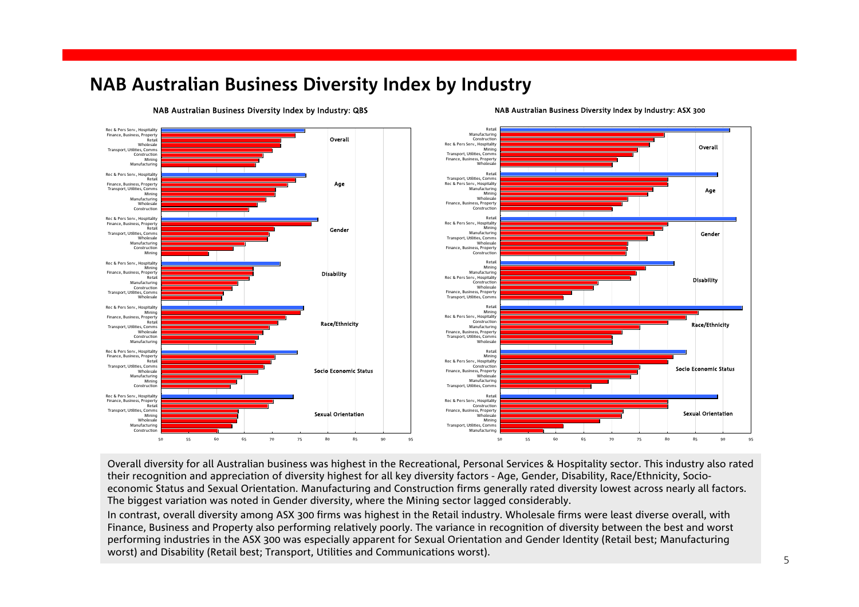# **NAB Australian Business Diversity Index by Industry**



### NAB Australian Business Diversity Index by Industry: QBS

### NAB Australian Business Diversity Index by Industry: ASX 300

Overall diversity for all Australian business was highest in the Recreational, Personal Services & Hospitality sector. This industry also rated their recognition and appreciation of diversity highest for all key diversity factors - Age, Gender, Disability, Race/Ethnicity, Socioeconomic Status and Sexual Orientation. Manufacturing and Construction firms generally rated diversity lowest across nearly all factors. The biggest variation was noted in Gender diversity, where the Mining sector lagged considerably.

In contrast, overall diversity among ASX 300 firms was highest in the Retail industry. Wholesale firms were least diverse overall, with Finance, Business and Property also performing relatively poorly. The variance in recognition of diversity between the best and worst performing industries in the ASX 300 was especially apparent for Sexual Orientation and Gender Identity (Retail best; Manufacturing worst) and Disability (Retail best; Transport, Utilities and Communications worst).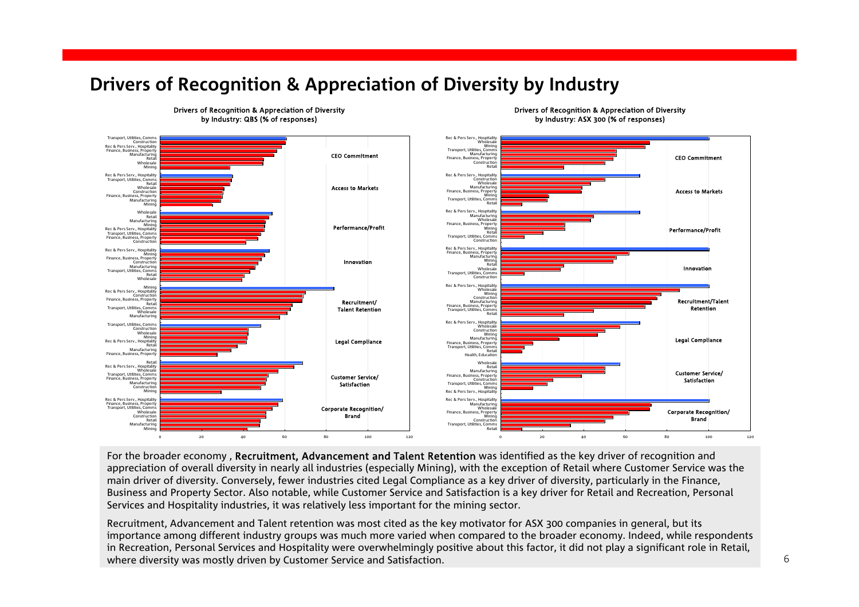# **Drivers of Recognition & Appreciation of Diversity by Industry**



Drivers of Recognition & Appreciation of Diversity by Industry: QBS (% of responses)

Drivers of Recognition & Appreciation of Diversity by Industry: ASX 300 (% of responses)

For the broader economy, Recruitment, Advancement and Talent Retention was identified as the key driver of recognition and appreciation of overall diversity in nearly all industries (especially Mining), with the exception of Retail where Customer Service was the main driver of diversity. Conversely, fewer industries cited Legal Compliance as a key driver of diversity, particularly in the Finance, Business and Property Sector. Also notable, while Customer Service and Satisfaction is a key driver for Retail and Recreation, Personal Services and Hospitality industries, it was relatively less important for the mining sector.

Recruitment, Advancement and Talent retention was most cited as the key motivator for ASX 300 companies in general, but its importance among different industry groups was much more varied when compared to the broader economy. Indeed, while respondents in Recreation, Personal Services and Hospitality were overwhelmingly positive about this factor, it did not play a significant role in Retail, where diversity was mostly driven by Customer Service and Satisfaction.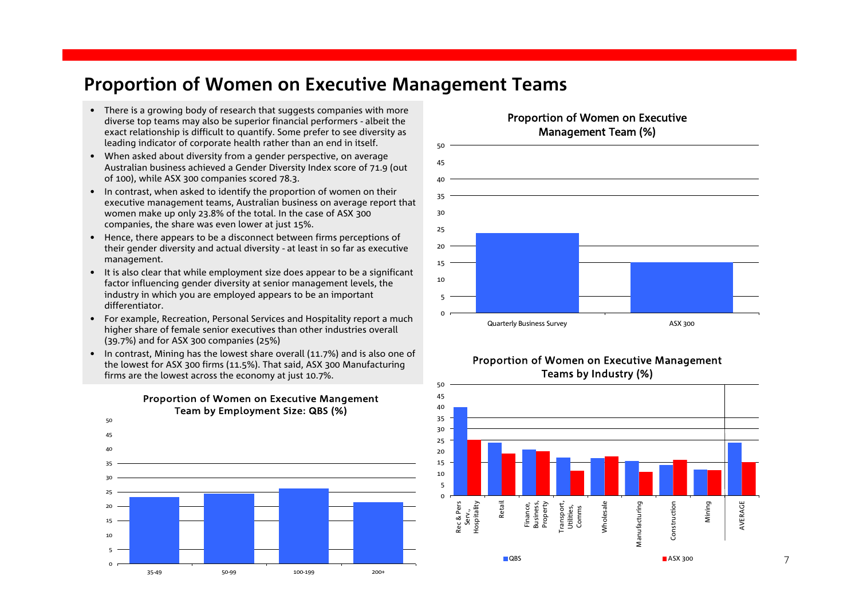## **Proportion of Women on Executive Management Teams**

- There is a growing body of research that suggests companies with more diverse top teams may also be superior financial performers - albeit the exact relationship is difficult to quantify. Some prefer to see diversity as leading indicator of corporate health rather than an end in itself.
- When asked about diversity from a gender perspective, on average Australian business achieved a Gender Diversity Index score of 71.9 (out of 100), while ASX 300 companies scored 78.3.
- In contrast, when asked to identify the proportion of women on their executive management teams, Australian business on average report that women make up only 23.8% of the total. In the case of ASX 300 companies, the share was even lower at just 15%.
- Hence, there appears to be a disconnect between firms perceptions of their gender diversity and actual diversity - at least in so far as executive management.
- It is also clear that while employment size does appear to be a significant factor influencing gender diversity at senior management levels, the industry in which you are employed appears to be an important differentiator.
- For example, Recreation, Personal Services and Hospitality report a much higher share of female senior executives than other industries overall (39.7%) and for ASX 300 companies (25%)
- In contrast, Mining has the lowest share overall (11.7%) and is also one of the lowest for ASX 300 firms (11.5%). That said, ASX 300 Manufacturing firms are the lowest across the economy at just 10.7%.



### Proportion of Women on Executive Mangement Team by Employment Size: QBS (%)

## Proportion of Women on Executive Management Team (%)







7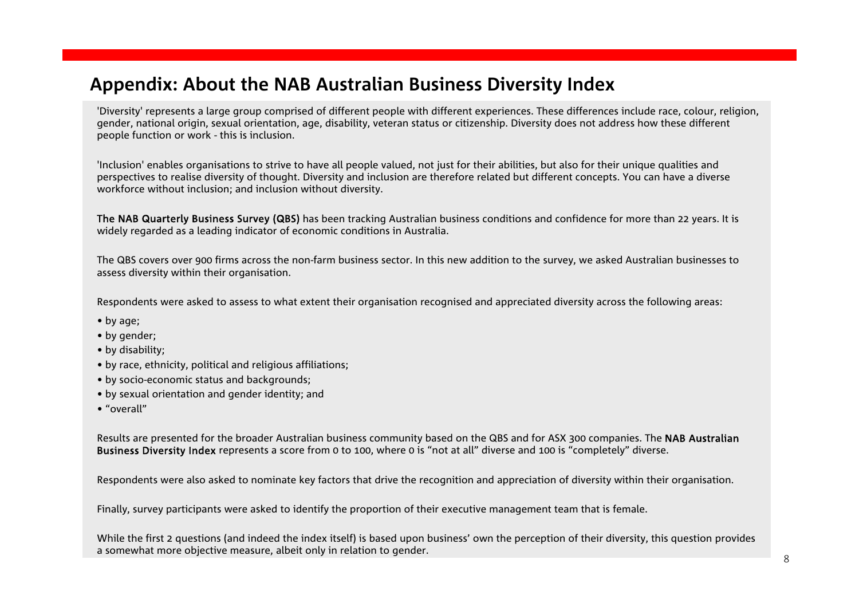# **Appendix: About the NAB Australian Business Diversity Index**

'Diversity' represents a large group comprised of different people with different experiences. These differences include race, colour, religion, gender, national origin, sexual orientation, age, disability, veteran status or citizenship. Diversity does not address how these different people function or work - this is inclusion.

'Inclusion' enables organisations to strive to have all people valued, not just for their abilities, but also for their unique qualities and perspectives to realise diversity of thought. Diversity and inclusion are therefore related but different concepts. You can have a diverse workforce without inclusion; and inclusion without diversity.

The NAB Quarterly Business Survey (QBS) has been tracking Australian business conditions and confidence for more than 22 years. It is widely regarded as a leading indicator of economic conditions in Australia.

The QBS covers over 900 firms across the non-farm business sector. In this new addition to the survey, we asked Australian businesses to assess diversity within their organisation.

Respondents were asked to assess to what extent their organisation recognised and appreciated diversity across the following areas:

- by age;
- by gender;
- by disability;
- by race, ethnicity, political and religious affiliations;
- by socio-economic status and backgrounds;
- by sexual orientation and gender identity; and
- "overall"

Results are presented for the broader Australian business community based on the QBS and for ASX 300 companies. The NAB Australian Business Diversity Index represents a score from 0 to 100, where 0 is "not at all" diverse and 100 is "completely" diverse.

Respondents were also asked to nominate key factors that drive the recognition and appreciation of diversity within their organisation.

Finally, survey participants were asked to identify the proportion of their executive management team that is female.

While the first 2 questions (and indeed the index itself) is based upon business' own the perception of their diversity, this question provides a somewhat more objective measure, albeit only in relation to gender.